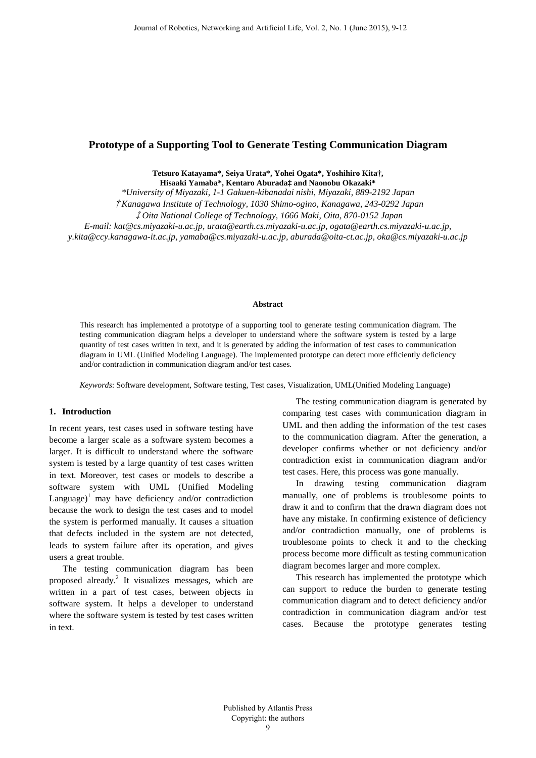# **Prototype of a Supporting Tool to Generate Testing Communication Diagram**

**Tetsuro Katayama\*, Seiya Urata\*, Yohei Ogata\*, Yoshihiro Kita†, Hisaaki Yamaba\*, Kentaro Aburada‡ and Naonobu Okazaki\***

*\*University of Miyazaki, 1-1 Gakuen-kibanadai nishi, Miyazaki, 889-2192 Japan*

†*Kanagawa Institute of Technology, 1030 Shimo-ogino, Kanagawa, 243-0292 Japan*

‡*Oita National College of Technology, 1666 Maki, Oita, 870-0152 Japan*

*E-mail: kat@cs.miyazaki-u.ac.jp, urata@earth.cs.miyazaki-u.ac.jp, ogata@earth.cs.miyazaki-u.ac.jp,* 

*y.kita@ccy.kanagawa-it.ac.jp, yamaba@cs.miyazaki-u.ac.jp, aburada@oita-ct.ac.jp, oka@cs.miyazaki-u.ac.jp*

#### **Abstract**

This research has implemented a prototype of a supporting tool to generate testing communication diagram. The testing communication diagram helps a developer to understand where the software system is tested by a large quantity of test cases written in text, and it is generated by adding the information of test cases to communication diagram in UML (Unified Modeling Language). The implemented prototype can detect more efficiently deficiency and/or contradiction in communication diagram and/or test cases.

*Keywords*: Software development, Software testing, Test cases, Visualization, UML(Unified Modeling Language)

#### **1. Introduction**

In recent years, test cases used in software testing have become a larger scale as a software system becomes a larger. It is difficult to understand where the software system is tested by a large quantity of test cases written in text. Moreover, test cases or models to describe a software system with UML (Unified Modeling Language)<sup>1</sup> may have deficiency and/or contradiction because the work to design the test cases and to model the system is performed manually. It causes a situation that defects included in the system are not detected, leads to system failure after its operation, and gives users a great trouble.

The testing communication diagram has been proposed already. <sup>2</sup> It visualizes messages, which are written in a part of test cases, between objects in software system. It helps a developer to understand where the software system is tested by test cases written in text.

The testing communication diagram is generated by comparing test cases with communication diagram in UML and then adding the information of the test cases to the communication diagram. After the generation, a developer confirms whether or not deficiency and/or contradiction exist in communication diagram and/or test cases. Here, this process was gone manually.

In drawing testing communication diagram manually, one of problems is troublesome points to draw it and to confirm that the drawn diagram does not have any mistake. In confirming existence of deficiency and/or contradiction manually, one of problems is troublesome points to check it and to the checking process become more difficult as testing communication diagram becomes larger and more complex.

This research has implemented the prototype which can support to reduce the burden to generate testing communication diagram and to detect deficiency and/or contradiction in communication diagram and/or test cases. Because the prototype generates testing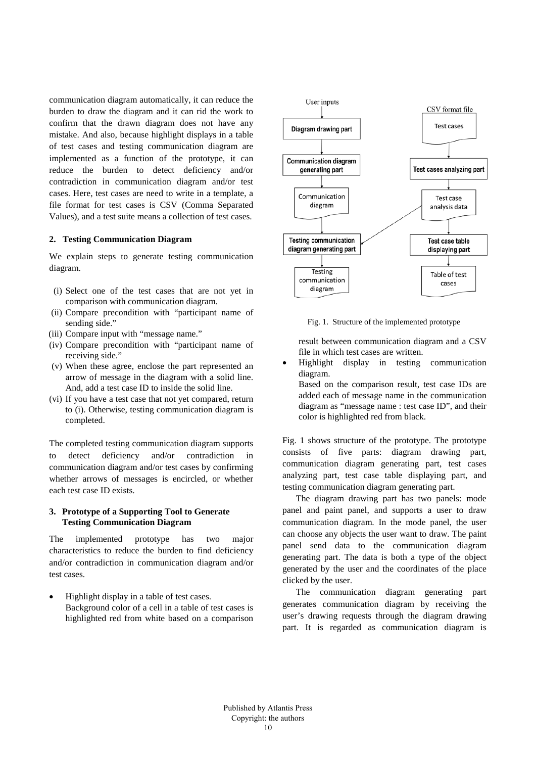communication diagram automatically, it can reduce the burden to draw the diagram and it can rid the work to confirm that the drawn diagram does not have any mistake. And also, because highlight displays in a table of test cases and testing communication diagram are implemented as a function of the prototype, it can reduce the burden to detect deficiency and/or contradiction in communication diagram and/or test cases. Here, test cases are need to write in a template, a file format for test cases is CSV (Comma Separated Values), and a test suite means a collection of test cases.

### **2. Testing Communication Diagram**

We explain steps to generate testing communication diagram.

- (i) Select one of the test cases that are not yet in comparison with communication diagram.
- (ii) Compare precondition with "participant name of sending side."
- (iii) Compare input with "message name."
- (iv) Compare precondition with "participant name of receiving side."
- (v) When these agree, enclose the part represented an arrow of message in the diagram with a solid line. And, add a test case ID to inside the solid line.
- (vi) If you have a test case that not yet compared, return to (i). Otherwise, testing communication diagram is completed.

The completed testing communication diagram supports to detect deficiency and/or contradiction in communication diagram and/or test cases by confirming whether arrows of messages is encircled, or whether each test case ID exists.

### **3. Prototype of a Supporting Tool to Generate Testing Communication Diagram**

The implemented prototype has two major characteristics to reduce the burden to find deficiency and/or contradiction in communication diagram and/or test cases.

• Highlight display in a table of test cases. Background color of a cell in a table of test cases is highlighted red from white based on a comparison



Fig. 1. Structure of the implemented prototype

result between communication diagram and a CSV file in which test cases are written.

- Highlight display in testing communication diagram.
	- Based on the comparison result, test case IDs are added each of message name in the communication diagram as "message name : test case ID", and their color is highlighted red from black.

Fig. 1 shows structure of the prototype. The prototype consists of five parts: diagram drawing part, communication diagram generating part, test cases analyzing part, test case table displaying part, and testing communication diagram generating part.

The diagram drawing part has two panels: mode panel and paint panel, and supports a user to draw communication diagram. In the mode panel, the user can choose any objects the user want to draw. The paint panel send data to the communication diagram generating part. The data is both a type of the object generated by the user and the coordinates of the place clicked by the user.

The communication diagram generating part generates communication diagram by receiving the user's drawing requests through the diagram drawing part. It is regarded as communication diagram is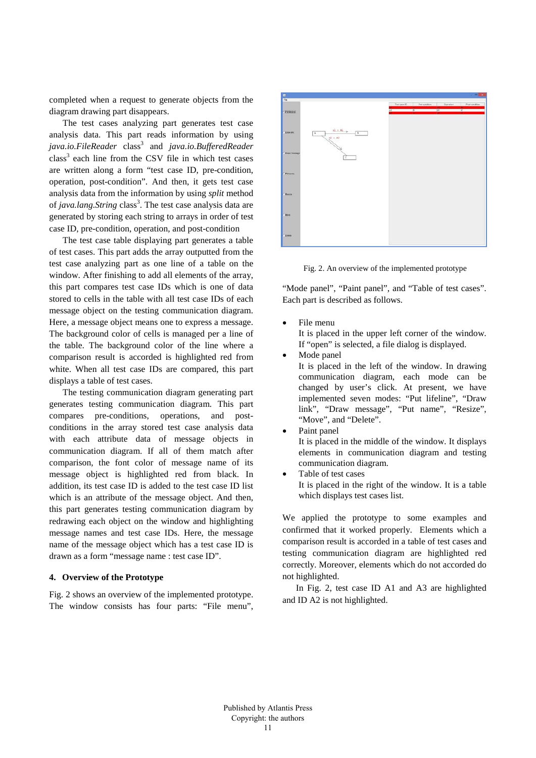completed when a request to generate objects from the diagram drawing part disappears.

The test cases analyzing part generates test case analysis data. This part reads information by using *java.io.FileReader* class3 and *java.io.BufferedReader*  $class<sup>3</sup>$  each line from the CSV file in which test cases are written along a form "test case ID, pre-condition, operation, post-condition". And then, it gets test case analysis data from the information by using *split* method of *java.lang.String* class<sup>3</sup>. The test case analysis data are generated by storing each string to arrays in order of test case ID, pre-condition, operation, and post-condition

The test case table displaying part generates a table of test cases. This part adds the array outputted from the test case analyzing part as one line of a table on the window. After finishing to add all elements of the array, this part compares test case IDs which is one of data stored to cells in the table with all test case IDs of each message object on the testing communication diagram. Here, a message object means one to express a message. The background color of cells is managed per a line of the table. The background color of the line where a comparison result is accorded is highlighted red from white. When all test case IDs are compared, this part displays a table of test cases.

The testing communication diagram generating part generates testing communication diagram. This part compares pre-conditions, operations, and postconditions in the array stored test case analysis data with each attribute data of message objects in communication diagram. If all of them match after comparison, the font color of message name of its message object is highlighted red from black. In addition, its test case ID is added to the test case ID list which is an attribute of the message object. And then, this part generates testing communication diagram by redrawing each object on the window and highlighting message names and test case IDs. Here, the message name of the message object which has a test case ID is drawn as a form "message name : test case ID".

## **4. Overview of the Prototype**

Fig. 2 shows an overview of the implemented prototype. The window consists has four parts: "File menu",



Fig. 2. An overview of the implemented prototype

"Mode panel", "Paint panel", and "Table of test cases". Each part is described as follows.

• File menu

It is placed in the upper left corner of the window. If "open" is selected, a file dialog is displayed.

Mode panel

It is placed in the left of the window. In drawing communication diagram, each mode can be changed by user's click. At present, we have implemented seven modes: "Put lifeline", "Draw link", "Draw message", "Put name", "Resize", "Move", and "Delete".

• Paint panel

It is placed in the middle of the window. It displays elements in communication diagram and testing communication diagram.

Table of test cases It is placed in the right of the window. It is a table which displays test cases list.

We applied the prototype to some examples and confirmed that it worked properly. Elements which a comparison result is accorded in a table of test cases and testing communication diagram are highlighted red correctly. Moreover, elements which do not accorded do not highlighted.

In Fig. 2, test case ID A1 and A3 are highlighted and ID A2 is not highlighted.